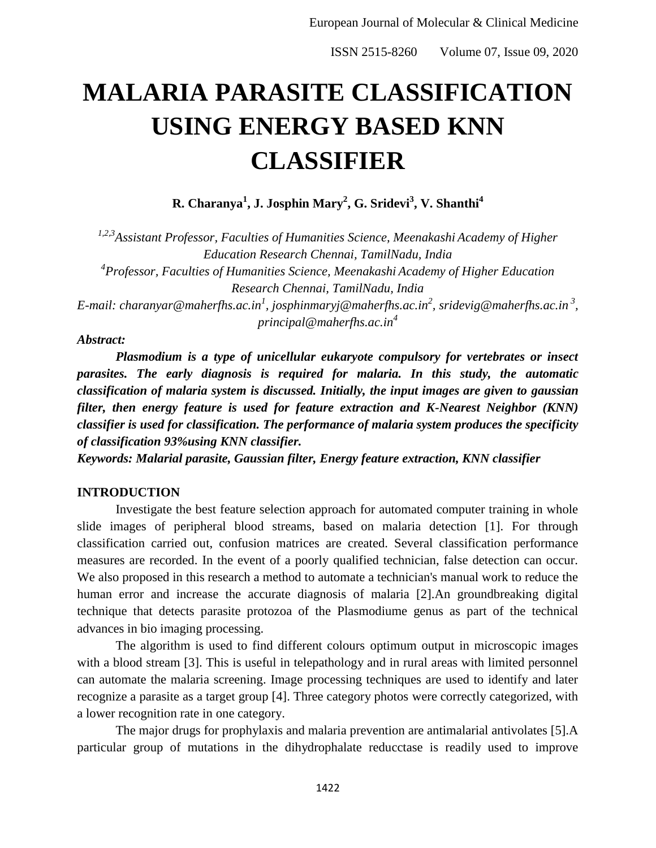# **MALARIA PARASITE CLASSIFICATION USING ENERGY BASED KNN CLASSIFIER**

**R. Charanya<sup>1</sup> , J. Josphin Mary<sup>2</sup> , G. Sridevi<sup>3</sup> , V. Shanthi<sup>4</sup>**

*1,2,3 Assistant Professor, Faculties of Humanities Science, Meenakashi Academy of Higher Education Research Chennai, TamilNadu, India 4 Professor, Faculties of Humanities Science, Meenakashi Academy of Higher Education Research Chennai, TamilNadu, India E-mail: charanyar@maherfhs.ac.in<sup>1</sup> , josphinmaryj@maherfhs.ac.in<sup>2</sup> , sridevig@maherfhs.ac.in <sup>3</sup> , principal@maherfhs.ac.in<sup>4</sup>*

#### *Abstract:*

*Plasmodium is a type of unicellular eukaryote compulsory for vertebrates or insect parasites. The early diagnosis is required for malaria. In this study, the automatic classification of malaria system is discussed. Initially, the input images are given to gaussian filter, then energy feature is used for feature extraction and K-Nearest Neighbor (KNN) classifier is used for classification. The performance of malaria system produces the specificity of classification 93%using KNN classifier.*

*Keywords: Malarial parasite, Gaussian filter, Energy feature extraction, KNN classifier*

# **INTRODUCTION**

Investigate the best feature selection approach for automated computer training in whole slide images of peripheral blood streams, based on malaria detection [1]. For through classification carried out, confusion matrices are created. Several classification performance measures are recorded. In the event of a poorly qualified technician, false detection can occur. We also proposed in this research a method to automate a technician's manual work to reduce the human error and increase the accurate diagnosis of malaria [2].An groundbreaking digital technique that detects parasite protozoa of the Plasmodiume genus as part of the technical advances in bio imaging processing.

The algorithm is used to find different colours optimum output in microscopic images with a blood stream [3]. This is useful in telepathology and in rural areas with limited personnel can automate the malaria screening. Image processing techniques are used to identify and later recognize a parasite as a target group [4]. Three category photos were correctly categorized, with a lower recognition rate in one category.

The major drugs for prophylaxis and malaria prevention are antimalarial antivolates [5].A particular group of mutations in the dihydrophalate reducctase is readily used to improve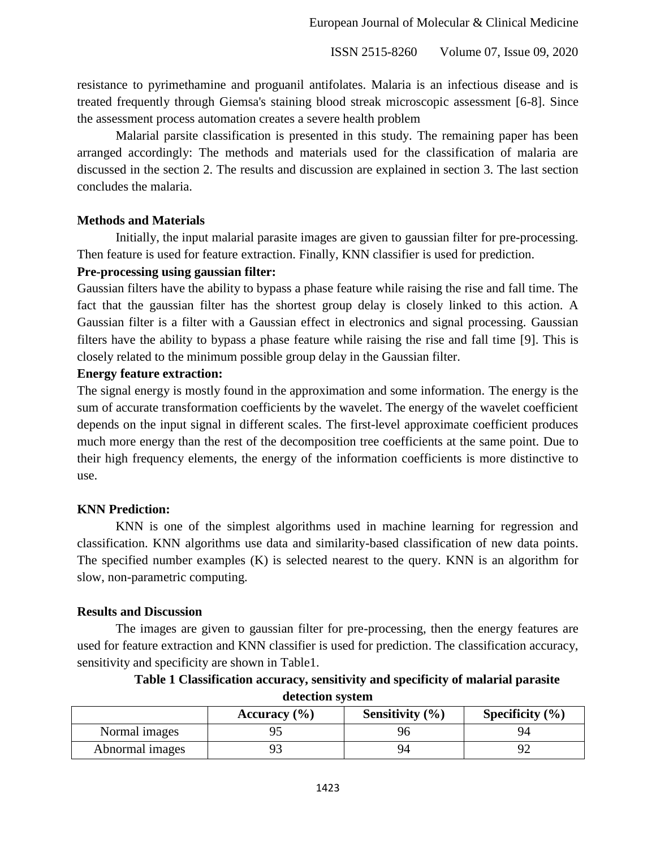ISSN 2515-8260 Volume 07, Issue 09, 2020

resistance to pyrimethamine and proguanil antifolates. Malaria is an infectious disease and is treated frequently through Giemsa's staining blood streak microscopic assessment [6-8]. Since the assessment process automation creates a severe health problem

Malarial parsite classification is presented in this study. The remaining paper has been arranged accordingly: The methods and materials used for the classification of malaria are discussed in the section 2. The results and discussion are explained in section 3. The last section concludes the malaria.

### **Methods and Materials**

Initially, the input malarial parasite images are given to gaussian filter for pre-processing. Then feature is used for feature extraction. Finally, KNN classifier is used for prediction.

# **Pre-processing using gaussian filter:**

Gaussian filters have the ability to bypass a phase feature while raising the rise and fall time. The fact that the gaussian filter has the shortest group delay is closely linked to this action. A Gaussian filter is a filter with a Gaussian effect in electronics and signal processing. Gaussian filters have the ability to bypass a phase feature while raising the rise and fall time [9]. This is closely related to the minimum possible group delay in the Gaussian filter.

# **Energy feature extraction:**

The signal energy is mostly found in the approximation and some information. The energy is the sum of accurate transformation coefficients by the wavelet. The energy of the wavelet coefficient depends on the input signal in different scales. The first-level approximate coefficient produces much more energy than the rest of the decomposition tree coefficients at the same point. Due to their high frequency elements, the energy of the information coefficients is more distinctive to use.

# **KNN Prediction:**

KNN is one of the simplest algorithms used in machine learning for regression and classification. KNN algorithms use data and similarity-based classification of new data points. The specified number examples (K) is selected nearest to the query. KNN is an algorithm for slow, non-parametric computing.

#### **Results and Discussion**

The images are given to gaussian filter for pre-processing, then the energy features are used for feature extraction and KNN classifier is used for prediction. The classification accuracy, sensitivity and specificity are shown in Table1.

| detection system |                  |                     |                     |
|------------------|------------------|---------------------|---------------------|
|                  | Accuracy $(\% )$ | Sensitivity $(\% )$ | Specificity $(\% )$ |
| Normal images    |                  | 96                  | 94                  |
| Abnormal images  |                  | 94                  | 92                  |

**Table 1 Classification accuracy, sensitivity and specificity of malarial parasite**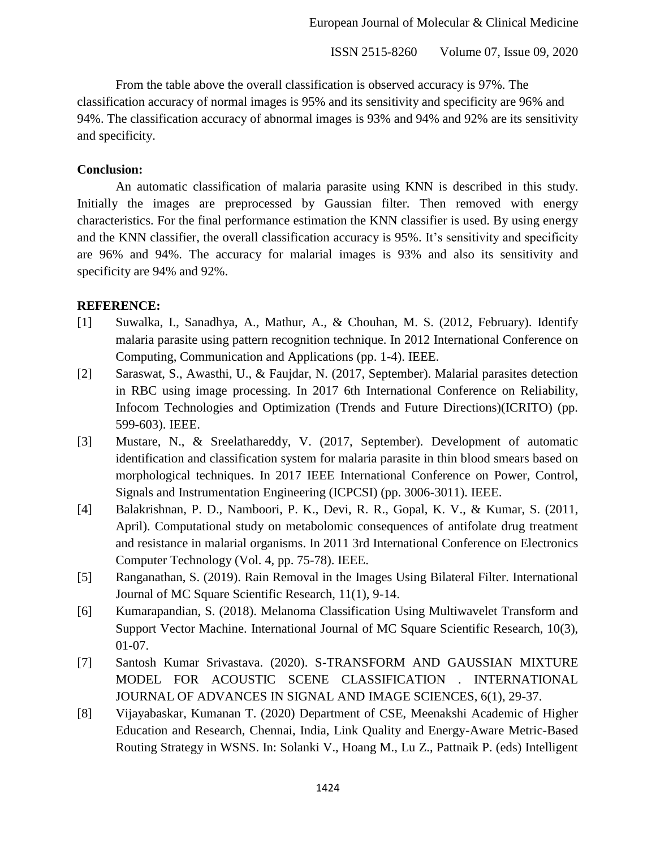ISSN 2515-8260 Volume 07, Issue 09, 2020

From the table above the overall classification is observed accuracy is 97%. The classification accuracy of normal images is 95% and its sensitivity and specificity are 96% and 94%. The classification accuracy of abnormal images is 93% and 94% and 92% are its sensitivity and specificity.

### **Conclusion:**

An automatic classification of malaria parasite using KNN is described in this study. Initially the images are preprocessed by Gaussian filter. Then removed with energy characteristics. For the final performance estimation the KNN classifier is used. By using energy and the KNN classifier, the overall classification accuracy is 95%. It's sensitivity and specificity are 96% and 94%. The accuracy for malarial images is 93% and also its sensitivity and specificity are 94% and 92%.

### **REFERENCE:**

- [1] Suwalka, I., Sanadhya, A., Mathur, A., & Chouhan, M. S. (2012, February). Identify malaria parasite using pattern recognition technique. In 2012 International Conference on Computing, Communication and Applications (pp. 1-4). IEEE.
- [2] Saraswat, S., Awasthi, U., & Faujdar, N. (2017, September). Malarial parasites detection in RBC using image processing. In 2017 6th International Conference on Reliability, Infocom Technologies and Optimization (Trends and Future Directions)(ICRITO) (pp. 599-603). IEEE.
- [3] Mustare, N., & Sreelathareddy, V. (2017, September). Development of automatic identification and classification system for malaria parasite in thin blood smears based on morphological techniques. In 2017 IEEE International Conference on Power, Control, Signals and Instrumentation Engineering (ICPCSI) (pp. 3006-3011). IEEE.
- [4] Balakrishnan, P. D., Namboori, P. K., Devi, R. R., Gopal, K. V., & Kumar, S. (2011, April). Computational study on metabolomic consequences of antifolate drug treatment and resistance in malarial organisms. In 2011 3rd International Conference on Electronics Computer Technology (Vol. 4, pp. 75-78). IEEE.
- [5] Ranganathan, S. (2019). Rain Removal in the Images Using Bilateral Filter. International Journal of MC Square Scientific Research, 11(1), 9-14.
- [6] Kumarapandian, S. (2018). Melanoma Classification Using Multiwavelet Transform and Support Vector Machine. International Journal of MC Square Scientific Research, 10(3), 01-07.
- [7] Santosh Kumar Srivastava. (2020). S-TRANSFORM AND GAUSSIAN MIXTURE MODEL FOR ACOUSTIC SCENE CLASSIFICATION . INTERNATIONAL JOURNAL OF ADVANCES IN SIGNAL AND IMAGE SCIENCES, 6(1), 29-37.
- [8] Vijayabaskar, Kumanan T. (2020) Department of CSE, Meenakshi Academic of Higher Education and Research, Chennai, India, Link Quality and Energy-Aware Metric-Based Routing Strategy in WSNS. In: Solanki V., Hoang M., Lu Z., Pattnaik P. (eds) Intelligent